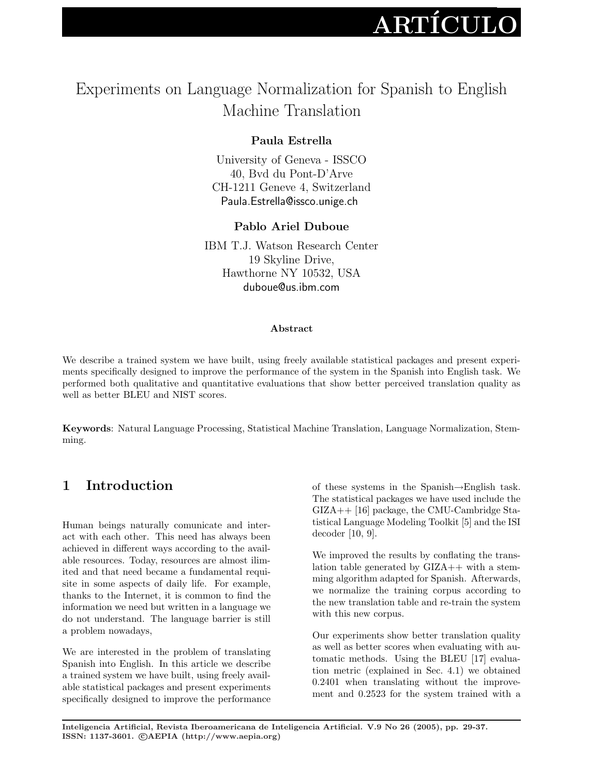# $\rm \bf ARTÍCULO$

## Experiments on Language Normalization for Spanish to English Machine Translation

## Paula Estrella

University of Geneva - ISSCO 40, Bvd du Pont-D'Arve CH-1211 Geneve 4, Switzerland Paula.Estrella@issco.unige.ch

### Pablo Ariel Duboue

IBM T.J. Watson Research Center 19 Skyline Drive, Hawthorne NY 10532, USA duboue@us.ibm.com

#### Abstract

We describe a trained system we have built, using freely available statistical packages and present experiments specifically designed to improve the performance of the system in the Spanish into English task. We performed both qualitative and quantitative evaluations that show better perceived translation quality as well as better BLEU and NIST scores.

Keywords: Natural Language Processing, Statistical Machine Translation, Language Normalization, Stemming.

## 1 Introduction

Human beings naturally comunicate and interact with each other. This need has always been achieved in different ways according to the available resources. Today, resources are almost ilimited and that need became a fundamental requisite in some aspects of daily life. For example, thanks to the Internet, it is common to find the information we need but written in a language we do not understand. The language barrier is still a problem nowadays,

We are interested in the problem of translating Spanish into English. In this article we describe a trained system we have built, using freely available statistical packages and present experiments specifically designed to improve the performance

of these systems in the Spanish→English task. The statistical packages we have used include the GIZA++ [16] package, the CMU-Cambridge Statistical Language Modeling Toolkit [5] and the ISI decoder [10, 9].

We improved the results by conflating the translation table generated by  $GIZA++$  with a stemming algorithm adapted for Spanish. Afterwards, we normalize the training corpus according to the new translation table and re-train the system with this new corpus.

Our experiments show better translation quality as well as better scores when evaluating with automatic methods. Using the BLEU [17] evaluation metric (explained in Sec. 4.1) we obtained 0.2401 when translating without the improvement and 0.2523 for the system trained with a

Inteligencia Artificial, Revista Iberoamericana de Inteligencia Artificial. V.9 No 26 (2005), pp. 29-37. ISSN: 1137-3601. ©AEPIA (http://www.aepia.org)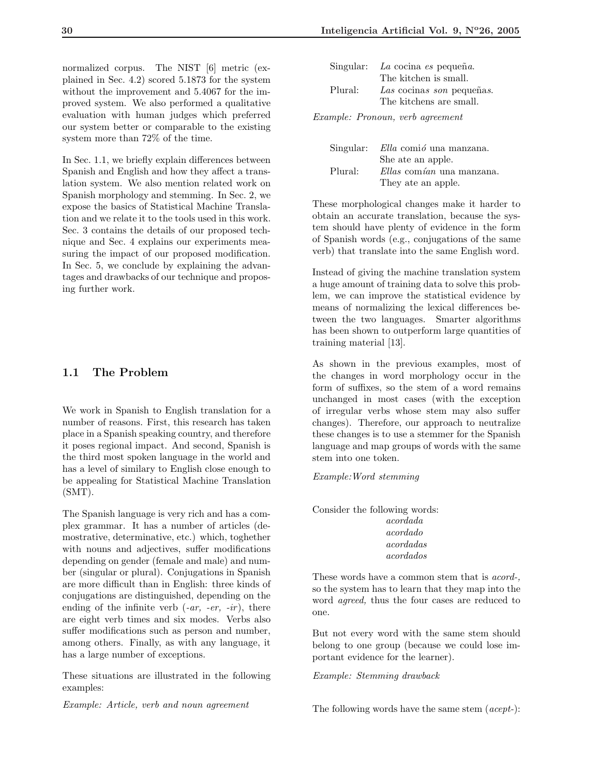normalized corpus. The NIST [6] metric (explained in Sec. 4.2) scored 5.1873 for the system without the improvement and 5.4067 for the improved system. We also performed a qualitative evaluation with human judges which preferred our system better or comparable to the existing system more than 72% of the time.

In Sec. 1.1, we briefly explain differences between Spanish and English and how they affect a translation system. We also mention related work on Spanish morphology and stemming. In Sec. 2, we expose the basics of Statistical Machine Translation and we relate it to the tools used in this work. Sec. 3 contains the details of our proposed technique and Sec. 4 explains our experiments measuring the impact of our proposed modification. In Sec. 5, we conclude by explaining the advantages and drawbacks of our technique and proposing further work.

#### 1.1 The Problem

We work in Spanish to English translation for a number of reasons. First, this research has taken place in a Spanish speaking country, and therefore it poses regional impact. And second, Spanish is the third most spoken language in the world and has a level of similary to English close enough to be appealing for Statistical Machine Translation (SMT).

The Spanish language is very rich and has a complex grammar. It has a number of articles (demostrative, determinative, etc.) which, toghether with nouns and adjectives, suffer modifications depending on gender (female and male) and number (singular or plural). Conjugations in Spanish are more difficult than in English: three kinds of conjugations are distinguished, depending on the ending of the infinite verb  $(-ar, -er, -ir)$ , there are eight verb times and six modes. Verbs also suffer modifications such as person and number, among others. Finally, as with any language, it has a large number of exceptions.

These situations are illustrated in the following examples:

Example: Article, verb and noun agreement

|         | Singular: La cocina es pequeña. |
|---------|---------------------------------|
|         | The kitchen is small.           |
| Plural: | Las cocinas son pequeñas.       |
|         | The kitchens are small.         |
|         |                                 |

Example: Pronoun, verb agreement

|         | Singular: Ella comió una manzana. |
|---------|-----------------------------------|
|         | She ate an apple.                 |
| Plural: | Ellas comían una manzana.         |
|         | They ate an apple.                |

These morphological changes make it harder to obtain an accurate translation, because the system should have plenty of evidence in the form of Spanish words (e.g., conjugations of the same verb) that translate into the same English word.

Instead of giving the machine translation system a huge amount of training data to solve this problem, we can improve the statistical evidence by means of normalizing the lexical differences between the two languages. Smarter algorithms has been shown to outperform large quantities of training material [13].

As shown in the previous examples, most of the changes in word morphology occur in the form of suffixes, so the stem of a word remains unchanged in most cases (with the exception of irregular verbs whose stem may also suffer changes). Therefore, our approach to neutralize these changes is to use a stemmer for the Spanish language and map groups of words with the same stem into one token.

Example:Word stemming

Consider the following words: acordada acordado acordadas acordados

These words have a common stem that is acord-, so the system has to learn that they map into the word agreed, thus the four cases are reduced to one.

But not every word with the same stem should belong to one group (because we could lose important evidence for the learner).

Example: Stemming drawback

The following words have the same stem (*acept*-):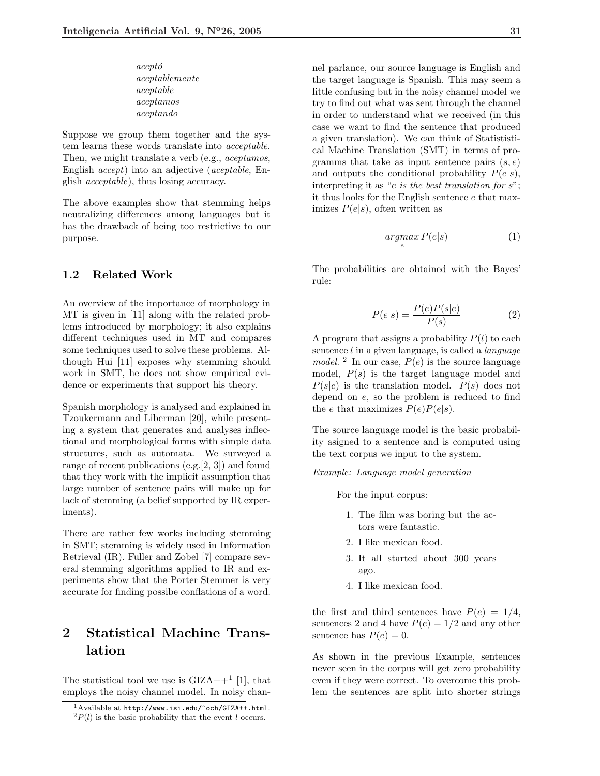acept´o aceptablemente aceptable aceptamos aceptando

Suppose we group them together and the system learns these words translate into acceptable. Then, we might translate a verb (e.g., *aceptamos*, English accept) into an adjective (aceptable, English acceptable), thus losing accuracy.

The above examples show that stemming helps neutralizing differences among languages but it has the drawback of being too restrictive to our purpose.

#### 1.2 Related Work

An overview of the importance of morphology in MT is given in [11] along with the related problems introduced by morphology; it also explains different techniques used in MT and compares some techniques used to solve these problems. Although Hui [11] exposes why stemming should work in SMT, he does not show empirical evidence or experiments that support his theory.

Spanish morphology is analysed and explained in Tzoukermann and Liberman [20], while presenting a system that generates and analyses inflectional and morphological forms with simple data structures, such as automata. We surveyed a range of recent publications (e.g.[2, 3]) and found that they work with the implicit assumption that large number of sentence pairs will make up for lack of stemming (a belief supported by IR experiments).

There are rather few works including stemming in SMT; stemming is widely used in Information Retrieval (IR). Fuller and Zobel [7] compare several stemming algorithms applied to IR and experiments show that the Porter Stemmer is very accurate for finding possibe conflations of a word.

## 2 Statistical Machine Translation

The statistical tool we use is  $\text{GIZA++}^1$  [1], that employs the noisy channel model. In noisy channel parlance, our source language is English and the target language is Spanish. This may seem a little confusing but in the noisy channel model we try to find out what was sent through the channel in order to understand what we received (in this case we want to find the sentence that produced a given translation). We can think of Statististical Machine Translation (SMT) in terms of programms that take as input sentence pairs  $(s, e)$ and outputs the conditional probability  $P(e|s)$ , interpreting it as "*e is the best translation for s*"; it thus looks for the English sentence e that maximizes  $P(e|s)$ , often written as

$$
\underset{e}{argmax} P(e|s) \tag{1}
$$

The probabilities are obtained with the Bayes' rule:

$$
P(e|s) = \frac{P(e)P(s|e)}{P(s)}\tag{2}
$$

A program that assigns a probability  $P(l)$  to each sentence  $l$  in a given language, is called a *language* model. <sup>2</sup> In our case,  $P(e)$  is the source language model,  $P(s)$  is the target language model and  $P(s|e)$  is the translation model.  $P(s)$  does not depend on e, so the problem is reduced to find the e that maximizes  $P(e)P(e|s)$ .

The source language model is the basic probability asigned to a sentence and is computed using the text corpus we input to the system.

Example: Language model generation

For the input corpus:

- 1. The film was boring but the actors were fantastic.
- 2. I like mexican food.
- 3. It all started about 300 years ago.
- 4. I like mexican food.

the first and third sentences have  $P(e) = 1/4$ , sentences 2 and 4 have  $P(e) = 1/2$  and any other sentence has  $P(e) = 0$ .

As shown in the previous Example, sentences never seen in the corpus will get zero probability even if they were correct. To overcome this problem the sentences are split into shorter strings

<sup>1</sup>Available at http://www.isi.edu/~och/GIZA++.html.  ${}^{2}P(l)$  is the basic probability that the event l occurs.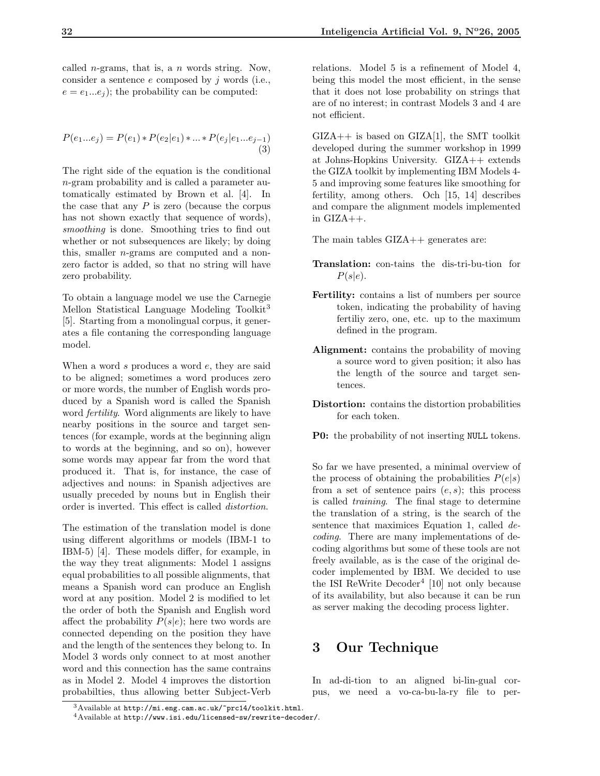called *n*-grams, that is, a *n* words string. Now, consider a sentence  $e$  composed by  $i$  words (i.e.,  $e = e_1...e_i$ ; the probability can be computed:

$$
P(e_1...e_j) = P(e_1) * P(e_2|e_1) * ... * P(e_j|e_1...e_{j-1})
$$
\n(3)

The right side of the equation is the conditional n-gram probability and is called a parameter automatically estimated by Brown et al. [4]. In the case that any  $P$  is zero (because the corpus has not shown exactly that sequence of words). smoothing is done. Smoothing tries to find out whether or not subsequences are likely; by doing this, smaller n-grams are computed and a nonzero factor is added, so that no string will have zero probability.

To obtain a language model we use the Carnegie Mellon Statistical Language Modeling Toolkit<sup>3</sup> [5]. Starting from a monolingual corpus, it generates a file contaning the corresponding language model.

When a word  $s$  produces a word  $e$ , they are said to be aligned; sometimes a word produces zero or more words, the number of English words produced by a Spanish word is called the Spanish word fertility. Word alignments are likely to have nearby positions in the source and target sentences (for example, words at the beginning align to words at the beginning, and so on), however some words may appear far from the word that produced it. That is, for instance, the case of adjectives and nouns: in Spanish adjectives are usually preceded by nouns but in English their order is inverted. This effect is called distortion.

The estimation of the translation model is done using different algorithms or models (IBM-1 to IBM-5) [4]. These models differ, for example, in the way they treat alignments: Model 1 assigns equal probabilities to all possible alignments, that means a Spanish word can produce an English word at any position. Model 2 is modified to let the order of both the Spanish and English word affect the probability  $P(s|e)$ ; here two words are connected depending on the position they have and the length of the sentences they belong to. In Model 3 words only connect to at most another word and this connection has the same contrains as in Model 2. Model 4 improves the distortion probabilties, thus allowing better Subject-Verb relations. Model 5 is a refinement of Model 4, being this model the most efficient, in the sense that it does not lose probability on strings that are of no interest; in contrast Models 3 and 4 are not efficient.

 $GIZA++$  is based on  $GIZA[1]$ , the SMT toolkit developed during the summer workshop in 1999 at Johns-Hopkins University. GIZA++ extends the GIZA toolkit by implementing IBM Models 4- 5 and improving some features like smoothing for fertility, among others. Och [15, 14] describes and compare the alignment models implemented in  $\text{GIZA}_{++}$ .

The main tables  $\text{GIZA++}\,$  generates are:

- Translation: con-tains the dis-tri-bu-tion for  $P(s|e)$ .
- Fertility: contains a list of numbers per source token, indicating the probability of having fertiliy zero, one, etc. up to the maximum defined in the program.
- Alignment: contains the probability of moving a source word to given position; it also has the length of the source and target sentences.
- Distortion: contains the distortion probabilities for each token.
- P0: the probability of not inserting NULL tokens.

So far we have presented, a minimal overview of the process of obtaining the probabilities  $P(e|s)$ from a set of sentence pairs  $(e, s)$ ; this process is called training. The final stage to determine the translation of a string, is the search of the sentence that maximices Equation 1, called decoding. There are many implementations of decoding algorithms but some of these tools are not freely available, as is the case of the original decoder implemented by IBM. We decided to use the ISI ReWrite Decoder<sup>4</sup> [10] not only because of its availability, but also because it can be run as server making the decoding process lighter.

## 3 Our Technique

In ad-di-tion to an aligned bi-lin-gual corpus, we need a vo-ca-bu-la-ry file to per-

 $3A$ vailable at http://mi.eng.cam.ac.uk/~prc14/toolkit.html.

<sup>4</sup>Available at http://www.isi.edu/licensed-sw/rewrite-decoder/.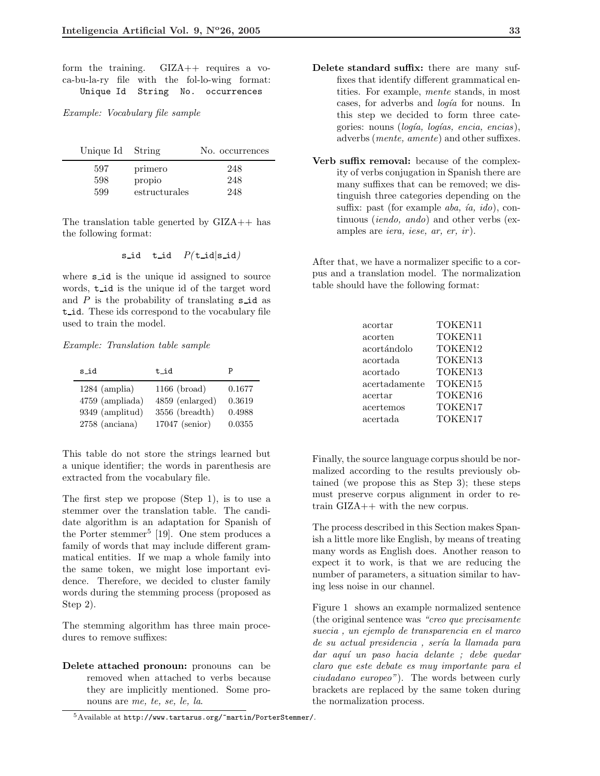form the training. GIZA++ requires a voca-bu-la-ry file with the fol-lo-wing format: Unique Id String No. occurrences

Example: Vocabulary file sample

| Unique Id String |               | No. occurrences |
|------------------|---------------|-----------------|
| 597              | primero       | 248             |
| 598              | propio        | 248             |
| 599              | estructurales | 248             |

The translation table generted by GIZA++ has the following format:

$$
\mathtt{s\_id} \quad \mathtt{t\_id} \quad P(\mathtt{t\_id}|\mathtt{s\_id})
$$

where **s** id is the unique id assigned to source words,  $t$  id is the unique id of the target word and  $P$  is the probability of translating  $s$  id as t id. These ids correspond to the vocabulary file used to train the model.

Example: Translation table sample

| s_id              | t_id            |        |
|-------------------|-----------------|--------|
| $1284$ (amplia)   | $1166$ (broad)  | 0.1677 |
| $4759$ (ampliada) | 4859 (enlarged) | 0.3619 |
| 9349 (amplitud)   | 3556 (breadth)  | 0.4988 |
| $2758$ (anciana)  | 17047 (senior)  | 0.0355 |

This table do not store the strings learned but a unique identifier; the words in parenthesis are extracted from the vocabulary file.

The first step we propose (Step 1), is to use a stemmer over the translation table. The candidate algorithm is an adaptation for Spanish of the Porter stemmer<sup>5</sup> [19]. One stem produces a family of words that may include different grammatical entities. If we map a whole family into the same token, we might lose important evidence. Therefore, we decided to cluster family words during the stemming process (proposed as Step 2).

The stemming algorithm has three main procedures to remove suffixes:

Delete attached pronoun: pronouns can be removed when attached to verbs because they are implicitly mentioned. Some pronouns are me, te, se, le, la.

- this step we decided to form three categories: nouns ( $loqía, loqías, encia, encias$ ), adverbs (mente, amente) and other suffixes.
- Verb suffix removal: because of the complexity of verbs conjugation in Spanish there are many suffixes that can be removed; we distinguish three categories depending on the suffix: past (for example *aba, ia, ido*), continuous (iendo, ando) and other verbs (examples are *iera*, *iese*, *ar*, *er*, *ir*).

After that, we have a normalizer specific to a corpus and a translation model. The normalization table should have the following format:

| acortar       | TOKEN11 |
|---------------|---------|
| acorten       | TOKEN11 |
| acortándolo   | TOKEN12 |
| acortada      | TOKEN13 |
| acortado      | TOKEN13 |
| acertadamente | TOKEN15 |
| acertar       | TOKEN16 |
| acertemos     | TOKEN17 |
| acertada      | TOKEN17 |

Finally, the source language corpus should be normalized according to the results previously obtained (we propose this as Step 3); these steps must preserve corpus alignment in order to retrain GIZA++ with the new corpus.

The process described in this Section makes Spanish a little more like English, by means of treating many words as English does. Another reason to expect it to work, is that we are reducing the number of parameters, a situation similar to having less noise in our channel.

Figure 1 shows an example normalized sentence (the original sentence was "creo que precisamente suecia , un ejemplo de transparencia en el marco de su actual presidencia, sería la llamada para dar aqu´ı un paso hacia delante ; debe quedar claro que este debate es muy importante para el ciudadano europeo"). The words between curly brackets are replaced by the same token during the normalization process.

Delete standard suffix: there are many suffixes that identify different grammatical entities. For example, mente stands, in most cases, for adverbs and *logía* for nouns. In

<sup>5</sup>Available at http://www.tartarus.org/~martin/PorterStemmer/.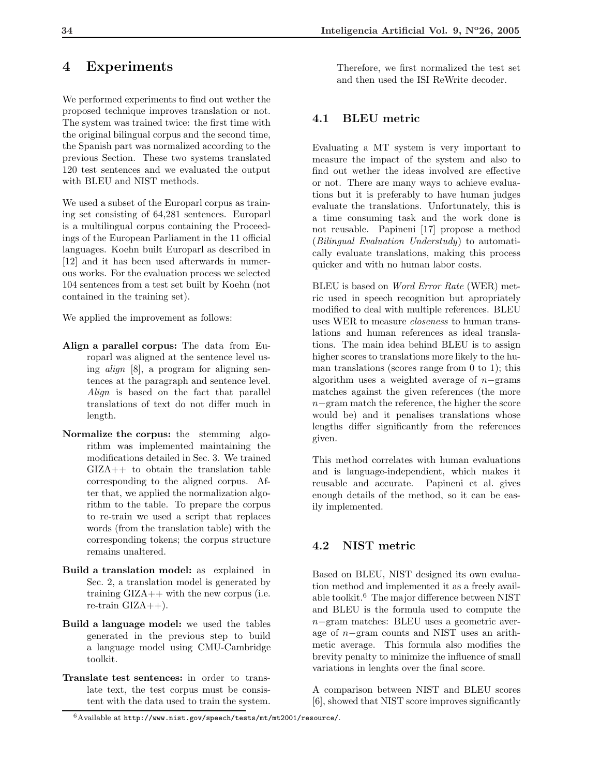## 4 Experiments

We performed experiments to find out wether the proposed technique improves translation or not. The system was trained twice: the first time with the original bilingual corpus and the second time, the Spanish part was normalized according to the previous Section. These two systems translated 120 test sentences and we evaluated the output with BLEU and NIST methods.

We used a subset of the Europarl corpus as training set consisting of 64,281 sentences. Europarl is a multilingual corpus containing the Proceedings of the European Parliament in the 11 official languages. Koehn built Europarl as described in [12] and it has been used afterwards in numerous works. For the evaluation process we selected 104 sentences from a test set built by Koehn (not contained in the training set).

We applied the improvement as follows:

- Align a parallel corpus: The data from Europarl was aligned at the sentence level using align [8], a program for aligning sentences at the paragraph and sentence level. Align is based on the fact that parallel translations of text do not differ much in length.
- Normalize the corpus: the stemming algorithm was implemented maintaining the modifications detailed in Sec. 3. We trained GIZA++ to obtain the translation table corresponding to the aligned corpus. After that, we applied the normalization algorithm to the table. To prepare the corpus to re-train we used a script that replaces words (from the translation table) with the corresponding tokens; the corpus structure remains unaltered.
- Build a translation model: as explained in Sec. 2, a translation model is generated by training  $\text{GIZA++}$  with the new corpus (i.e. re-train  $\text{GIZA}_{++}$ ).
- Build a language model: we used the tables generated in the previous step to build a language model using CMU-Cambridge toolkit.
- Translate test sentences: in order to translate text, the test corpus must be consistent with the data used to train the system.

Therefore, we first normalized the test set and then used the ISI ReWrite decoder.

### 4.1 BLEU metric

Evaluating a MT system is very important to measure the impact of the system and also to find out wether the ideas involved are effective or not. There are many ways to achieve evaluations but it is preferably to have human judges evaluate the translations. Unfortunately, this is a time consuming task and the work done is not reusable. Papineni [17] propose a method (Bilingual Evaluation Understudy) to automatically evaluate translations, making this process quicker and with no human labor costs.

BLEU is based on *Word Error Rate* (WER) metric used in speech recognition but apropriately modified to deal with multiple references. BLEU uses WER to measure closeness to human translations and human references as ideal translations. The main idea behind BLEU is to assign higher scores to translations more likely to the human translations (scores range from 0 to 1); this algorithm uses a weighted average of  $n$ −grams matches against the given references (the more n−gram match the reference, the higher the score would be) and it penalises translations whose lengths differ significantly from the references given.

This method correlates with human evaluations and is language-independient, which makes it reusable and accurate. Papineni et al. gives enough details of the method, so it can be easily implemented.

#### 4.2 NIST metric

Based on BLEU, NIST designed its own evaluation method and implemented it as a freely available toolkit.<sup>6</sup> The major difference between NIST and BLEU is the formula used to compute the n−gram matches: BLEU uses a geometric average of n−gram counts and NIST uses an arithmetic average. This formula also modifies the brevity penalty to minimize the influence of small variations in lenghts over the final score.

A comparison between NIST and BLEU scores [6], showed that NIST score improves significantly

<sup>6</sup>Available at http://www.nist.gov/speech/tests/mt/mt2001/resource/.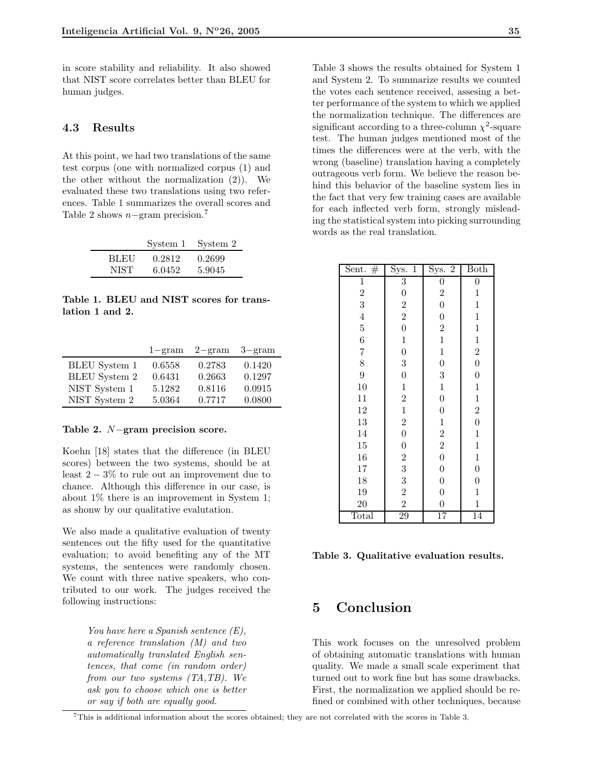in score stability and reliability. It also showed that NIST score correlates better than BLEU for human judges.

#### 4.3 Results

At this point, we had two translations of the same test corpus (one with normalized corpus (1) and the other without the normalization (2)). We evaluated these two translations using two references. Table 1 summarizes the overall scores and Table 2 shows  $n-$ gram precision.<sup>7</sup>

| System 1 |                                        |
|----------|----------------------------------------|
| 0.2812   |                                        |
|          | System 2<br>0.2699<br>5.9045<br>6.0452 |

Table 1. BLEU and NIST scores for translation 1 and 2.

|                      | $1 - \text{gram}$ | $2 - \text{gram}$ | $3 - \text{gram}$ |
|----------------------|-------------------|-------------------|-------------------|
| <b>BLEU</b> System 1 | 0.6558            | 0.2783            | 0.1420            |
| <b>BLEU</b> System 2 | 0.6431            | 0.2663            | 0.1297            |
| NIST System 1        | 5.1282            | 0.8116            | 0.0915            |
| NIST System 2        | 5.0364            | 0.7717            | 0.0800            |

#### Table 2. N−gram precision score.

Koehn [18] states that the difference (in BLEU scores) between the two systems, should be at least  $2 - 3\%$  to rule out an improvement due to chance. Although this difference in our case, is about 1% there is an improvement in System 1; as shonw by our qualitative evalutation.

We also made a qualitative evaluation of twenty sentences out the fifty used for the quantitative evaluation; to avoid benefiting any of the MT systems, the sentences were randomly chosen. We count with three native speakers, who contributed to our work. The judges received the following instructions:

> You have here a Spanish sentence  $(E)$ , a reference translation (M) and two automatically translated English sentences, that come (in random order) from our two systems (TA,TB). We ask you to choose which one is better or say if both are equally good.

Table 3 shows the results obtained for System 1 and System 2. To summarize results we counted the votes each sentence received, assesing a better performance of the system to which we applied the normalization technique. The differences are significant according to a three-column  $\chi^2$ -square test. The human judges mentioned most of the times the differences were at the verb, with the wrong (baseline) translation having a completely outrageous verb form. We believe the reason behind this behavior of the baseline system lies in the fact that very few training cases are available for each inflected verb form, strongly misleading the statistical system into picking surrounding words as the real translation.

| Sent. $#$      | Sys.<br>$\overline{1}$                | $\overline{2}$<br>Sys.                | <b>Both</b>      |
|----------------|---------------------------------------|---------------------------------------|------------------|
| $\mathbf 1$    | $\overline{3}$                        | $\boldsymbol{0}$                      | $\overline{0}$   |
| $\frac{2}{3}$  | $\begin{array}{c} 0 \\ 2 \end{array}$ | $\overline{2}$                        | $\mathbf{1}$     |
|                |                                       | $\overline{0}$                        | $\mathbf 1$      |
| $\overline{4}$ | $\overline{2}$                        | $\overline{0}$                        | $\mathbf{1}$     |
| $\overline{5}$ | $\overline{0}$                        | $\overline{2}$                        | $\mathbf{1}$     |
| $\overline{6}$ | $\mathbf{1}$                          | $\mathbf{1}$                          | $\mathbf{1}$     |
| $\overline{7}$ | $\overline{0}$                        | $\mathbf{1}$                          | $\overline{2}$   |
| 8              | 3                                     | $\overline{0}$                        | $\overline{0}$   |
| 9              | $\overline{0}$                        | 3                                     | $\overline{0}$   |
| 10             | $\mathbf{1}$                          | $\mathbf{1}$                          | $\mathbf{1}$     |
| 11             | $\overline{2}$                        | $\overline{0}$                        | $\mathbf{1}$     |
| 12             | $\mathbf{1}$                          | $\overline{0}$                        | $\overline{2}$   |
| 13             | $\overline{2}$                        | $\mathbf{1}$                          | $\overline{0}$   |
| 14             | $\overline{0}$                        | $\overline{2}$                        | $\mathbf{1}$     |
| 15             | $\overline{0}$                        | $\begin{array}{c} 2 \\ 0 \end{array}$ | $\mathbf{1}$     |
| 16             | $\overline{2}$                        |                                       | $\mathbf{1}$     |
| 17             | 3                                     | $\overline{0}$                        | $\boldsymbol{0}$ |
| 18             | 3                                     | $\overline{0}$                        | $\overline{0}$   |
| 19             | $\overline{2}$                        | $\overline{0}$                        | $\mathbf{1}$     |
| <b>20</b>      | $\overline{2}$                        | $\overline{0}$                        | $\mathbf{1}$     |
| Total          | 29                                    | $\overline{17}$                       | 14               |

Table 3. Qualitative evaluation results.

## 5 Conclusion

This work focuses on the unresolved problem of obtaining automatic translations with human quality. We made a small scale experiment that turned out to work fine but has some drawbacks. First, the normalization we applied should be refined or combined with other techniques, because

<sup>7</sup>This is additional information about the scores obtained; they are not correlated with the scores in Table 3.